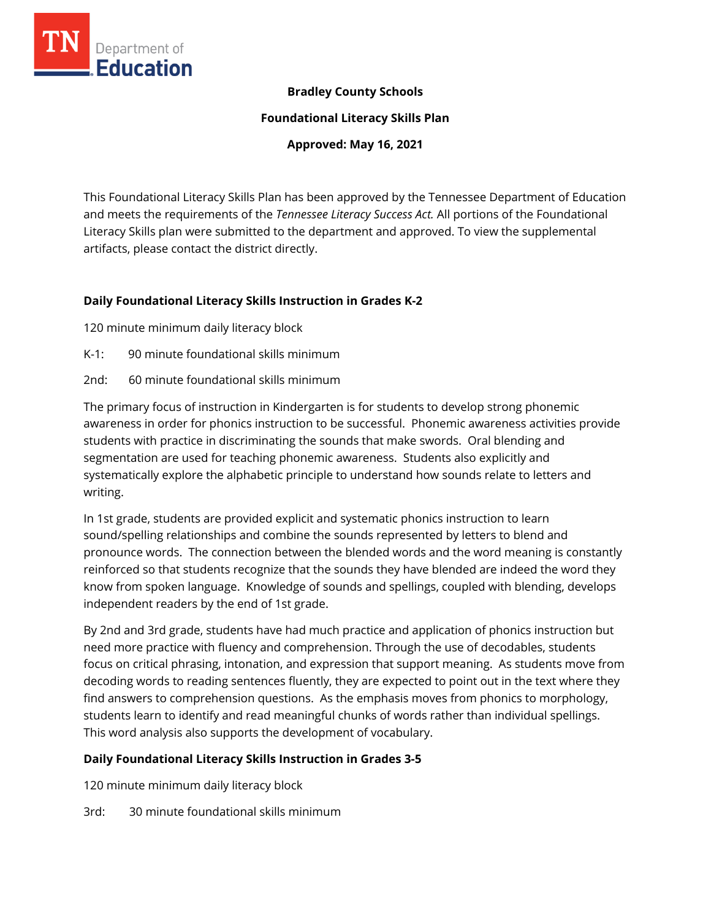

### **Bradley County Schools**

**Foundational Literacy Skills Plan**

**Approved: May 16, 2021**

This Foundational Literacy Skills Plan has been approved by the Tennessee Department of Education and meets the requirements of the *Tennessee Literacy Success Act.* All portions of the Foundational Literacy Skills plan were submitted to the department and approved. To view the supplemental artifacts, please contact the district directly.

#### **Daily Foundational Literacy Skills Instruction in Grades K-2**

120 minute minimum daily literacy block

- K-1: 90 minute foundational skills minimum
- 2nd: 60 minute foundational skills minimum

The primary focus of instruction in Kindergarten is for students to develop strong phonemic awareness in order for phonics instruction to be successful. Phonemic awareness activities provide students with practice in discriminating the sounds that make swords. Oral blending and segmentation are used for teaching phonemic awareness. Students also explicitly and systematically explore the alphabetic principle to understand how sounds relate to letters and writing.

In 1st grade, students are provided explicit and systematic phonics instruction to learn sound/spelling relationships and combine the sounds represented by letters to blend and pronounce words. The connection between the blended words and the word meaning is constantly reinforced so that students recognize that the sounds they have blended are indeed the word they know from spoken language. Knowledge of sounds and spellings, coupled with blending, develops independent readers by the end of 1st grade.

By 2nd and 3rd grade, students have had much practice and application of phonics instruction but need more practice with fluency and comprehension. Through the use of decodables, students focus on critical phrasing, intonation, and expression that support meaning. As students move from decoding words to reading sentences fluently, they are expected to point out in the text where they find answers to comprehension questions. As the emphasis moves from phonics to morphology, students learn to identify and read meaningful chunks of words rather than individual spellings. This word analysis also supports the development of vocabulary.

#### **Daily Foundational Literacy Skills Instruction in Grades 3-5**

120 minute minimum daily literacy block

3rd: 30 minute foundational skills minimum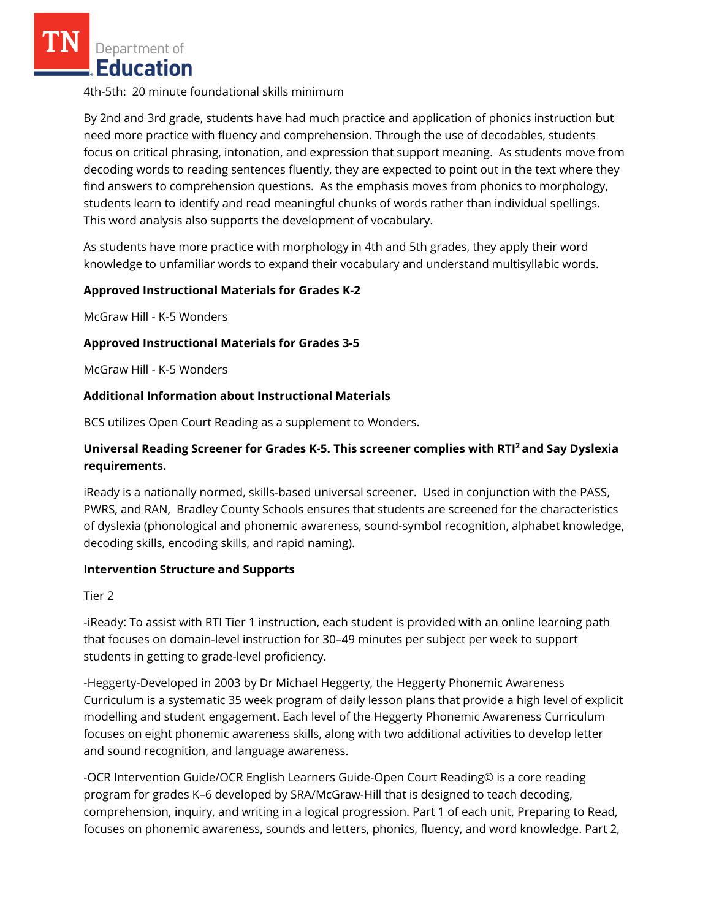Department of Education

4th-5th: 20 minute foundational skills minimum

By 2nd and 3rd grade, students have had much practice and application of phonics instruction but need more practice with fluency and comprehension. Through the use of decodables, students focus on critical phrasing, intonation, and expression that support meaning. As students move from decoding words to reading sentences fluently, they are expected to point out in the text where they find answers to comprehension questions. As the emphasis moves from phonics to morphology, students learn to identify and read meaningful chunks of words rather than individual spellings. This word analysis also supports the development of vocabulary.

As students have more practice with morphology in 4th and 5th grades, they apply their word knowledge to unfamiliar words to expand their vocabulary and understand multisyllabic words.

#### **Approved Instructional Materials for Grades K-2**

McGraw Hill - K-5 Wonders

#### **Approved Instructional Materials for Grades 3-5**

McGraw Hill - K-5 Wonders

#### **Additional Information about Instructional Materials**

BCS utilizes Open Court Reading as a supplement to Wonders.

## **Universal Reading Screener for Grades K-5. This screener complies with RTI<sup>2</sup>and Say Dyslexia requirements.**

iReady is a nationally normed, skills-based universal screener. Used in conjunction with the PASS, PWRS, and RAN, Bradley County Schools ensures that students are screened for the characteristics of dyslexia (phonological and phonemic awareness, sound-symbol recognition, alphabet knowledge, decoding skills, encoding skills, and rapid naming).

#### **Intervention Structure and Supports**

Tier 2

-iReady: To assist with RTI Tier 1 instruction, each student is provided with an online learning path that focuses on domain-level instruction for 30–49 minutes per subject per week to support students in getting to grade-level proficiency.

-Heggerty-Developed in 2003 by Dr Michael Heggerty, the Heggerty Phonemic Awareness Curriculum is a systematic 35 week program of daily lesson plans that provide a high level of explicit modelling and student engagement. Each level of the Heggerty Phonemic Awareness Curriculum focuses on eight phonemic awareness skills, along with two additional activities to develop letter and sound recognition, and language awareness.

-OCR Intervention Guide/OCR English Learners Guide-Open Court Reading© is a core reading program for grades K–6 developed by SRA/McGraw-Hill that is designed to teach decoding, comprehension, inquiry, and writing in a logical progression. Part 1 of each unit, Preparing to Read, focuses on phonemic awareness, sounds and letters, phonics, fluency, and word knowledge. Part 2,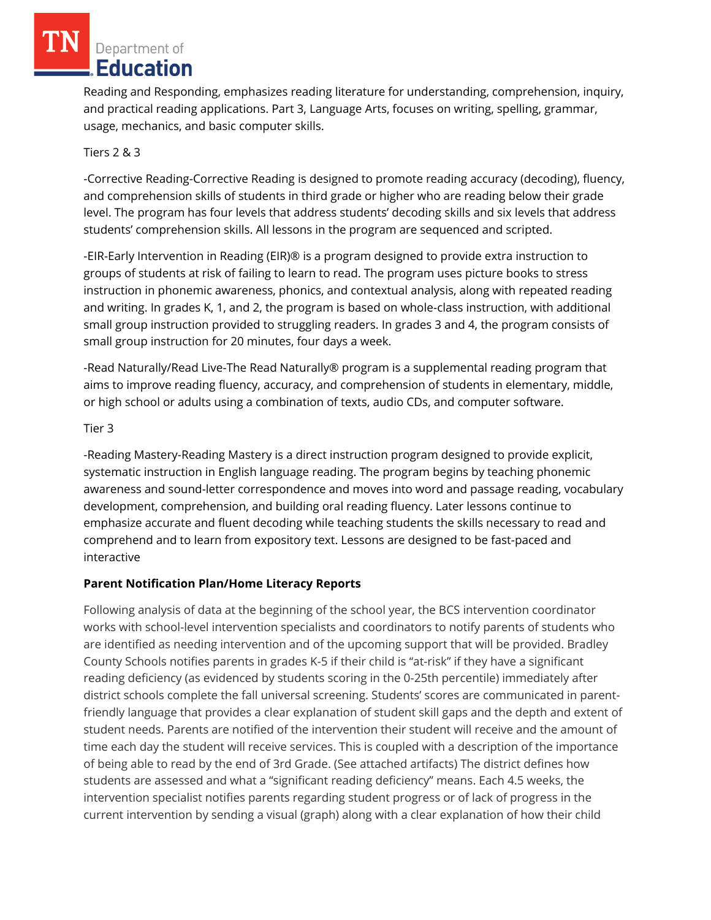Department of Education

Reading and Responding, emphasizes reading literature for understanding, comprehension, inquiry, and practical reading applications. Part 3, Language Arts, focuses on writing, spelling, grammar, usage, mechanics, and basic computer skills.

## Tiers 2 & 3

-Corrective Reading-Corrective Reading is designed to promote reading accuracy (decoding), fluency, and comprehension skills of students in third grade or higher who are reading below their grade level. The program has four levels that address students' decoding skills and six levels that address students' comprehension skills. All lessons in the program are sequenced and scripted.

-EIR-Early Intervention in Reading (EIR)® is a program designed to provide extra instruction to groups of students at risk of failing to learn to read. The program uses picture books to stress instruction in phonemic awareness, phonics, and contextual analysis, along with repeated reading and writing. In grades K, 1, and 2, the program is based on whole-class instruction, with additional small group instruction provided to struggling readers. In grades 3 and 4, the program consists of small group instruction for 20 minutes, four days a week.

-Read Naturally/Read Live-The Read Naturally® program is a supplemental reading program that aims to improve reading fluency, accuracy, and comprehension of students in elementary, middle, or high school or adults using a combination of texts, audio CDs, and computer software.

#### Tier 3

-Reading Mastery-Reading Mastery is a direct instruction program designed to provide explicit, systematic instruction in English language reading. The program begins by teaching phonemic awareness and sound-letter correspondence and moves into word and passage reading, vocabulary development, comprehension, and building oral reading fluency. Later lessons continue to emphasize accurate and fluent decoding while teaching students the skills necessary to read and comprehend and to learn from expository text. Lessons are designed to be fast-paced and interactive

#### **Parent Notification Plan/Home Literacy Reports**

Following analysis of data at the beginning of the school year, the BCS intervention coordinator works with school-level intervention specialists and coordinators to notify parents of students who are identified as needing intervention and of the upcoming support that will be provided. Bradley County Schools notifies parents in grades K-5 if their child is "at-risk" if they have a significant reading deficiency (as evidenced by students scoring in the 0-25th percentile) immediately after district schools complete the fall universal screening. Students' scores are communicated in parentfriendly language that provides a clear explanation of student skill gaps and the depth and extent of student needs. Parents are notified of the intervention their student will receive and the amount of time each day the student will receive services. This is coupled with a description of the importance of being able to read by the end of 3rd Grade. (See attached artifacts) The district defines how students are assessed and what a "significant reading deficiency" means. Each 4.5 weeks, the intervention specialist notifies parents regarding student progress or of lack of progress in the current intervention by sending a visual (graph) along with a clear explanation of how their child